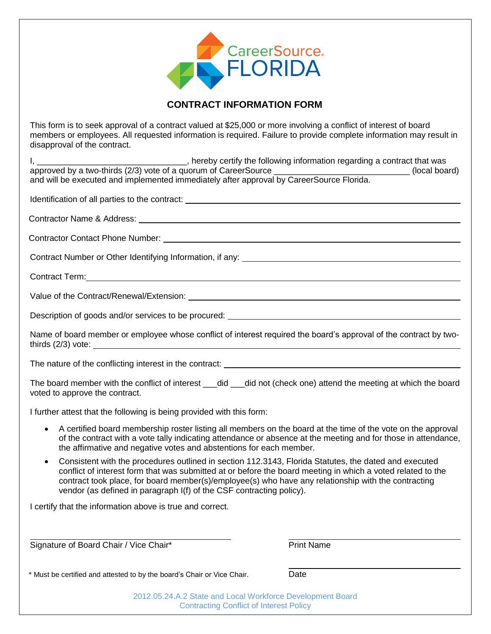

## **CONTRACT INFORMATION FORM**

This form is to seek approval of a contract valued at \$25,000 or more involving a conflict of interest of board members or employees. All requested information is required. Failure to provide complete information may result in disapproval of the contract.

I, \_\_\_\_\_\_\_\_\_\_\_\_\_\_\_\_\_\_\_\_\_\_\_\_\_\_\_\_\_\_\_\_\_, hereby certify the following information regarding a contract that was approved by a two-thirds (2/3) vote of a quorum of CareerSource \_\_\_\_\_\_\_\_\_\_\_\_\_\_\_\_\_\_\_\_\_\_\_\_\_\_\_\_\_ (local board) and will be executed and implemented immediately after approval by CareerSource Florida. Identification of all parties to the contract: Contractor Name & Address: Contractor Contact Phone Number: Contract Number or Other Identifying Information, if any: Contract Term: Value of the Contract/Renewal/Extension: Description of goods and/or services to be procured: Name of board member or employee whose conflict of interest required the board's approval of the contract by twothirds (2/3) vote: The nature of the conflicting interest in the contract: The board member with the conflict of interest \_\_\_did \_\_\_did not (check one) attend the meeting at which the board voted to approve the contract. I further attest that the following is being provided with this form: A certified board membership roster listing all members on the board at the time of the vote on the approval of the contract with a vote tally indicating attendance or absence at the meeting and for those in attendance, the affirmative and negative votes and abstentions for each member. Consistent with the procedures outlined in section 112.3143, Florida Statutes, the dated and executed conflict of interest form that was submitted at or before the board meeting in which a voted related to the contract took place, for board member(s)/employee(s) who have any relationship with the contracting vendor (as defined in paragraph I(f) of the CSF contracting policy). I certify that the information above is true and correct. Signature of Board Chair / Vice Chair\* Print Name

\* Must be certified and attested to by the board's Chair or Vice Chair. Date

2012.05.24.A.2 State and Local Workforce Development Board Contracting Conflict of Interest Policy